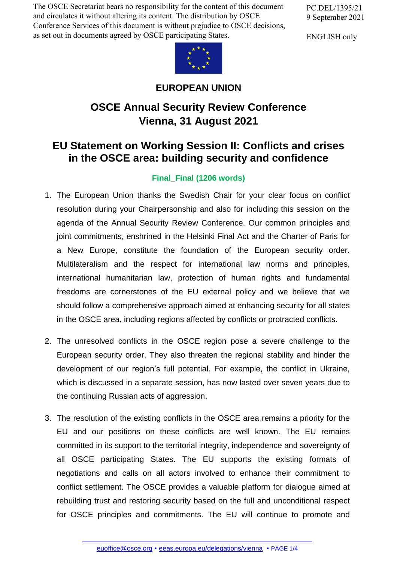The OSCE Secretariat bears no responsibility for the content of this document and circulates it without altering its content. The distribution by OSCE Conference Services of this document is without prejudice to OSCE decisions, as set out in documents agreed by OSCE participating States.

PC.DEL/1395/21 9 September 2021

ENGLISH only



## **EUROPEAN UNION**

## **OSCE Annual Security Review Conference Vienna, 31 August 2021**

## **EU Statement on Working Session II: Conflicts and crises in the OSCE area: building security and confidence**

## **Final\_Final (1206 words)**

- 1. The European Union thanks the Swedish Chair for your clear focus on conflict resolution during your Chairpersonship and also for including this session on the agenda of the Annual Security Review Conference. Our common principles and joint commitments, enshrined in the Helsinki Final Act and the Charter of Paris for a New Europe, constitute the foundation of the European security order. Multilateralism and the respect for international law norms and principles, international humanitarian law, protection of human rights and fundamental freedoms are cornerstones of the EU external policy and we believe that we should follow a comprehensive approach aimed at enhancing security for all states in the OSCE area, including regions affected by conflicts or protracted conflicts.
- 2. The unresolved conflicts in the OSCE region pose a severe challenge to the European security order. They also threaten the regional stability and hinder the development of our region's full potential. For example, the conflict in Ukraine, which is discussed in a separate session, has now lasted over seven years due to the continuing Russian acts of aggression.
- 3. The resolution of the existing conflicts in the OSCE area remains a priority for the EU and our positions on these conflicts are well known. The EU remains committed in its support to the territorial integrity, independence and sovereignty of all OSCE participating States. The EU supports the existing formats of negotiations and calls on all actors involved to enhance their commitment to conflict settlement. The OSCE provides a valuable platform for dialogue aimed at rebuilding trust and restoring security based on the full and unconditional respect for OSCE [principles](mailto:euoffice@osce.org) and [commitments.](http://eeas.europa.eu/delegations/vienna) The EU will continue to promote and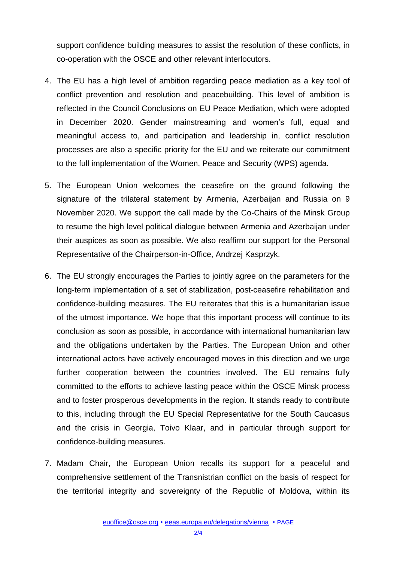support confidence building measures to assist the resolution of these conflicts, in co-operation with the OSCE and other relevant interlocutors.

- 4. The EU has a high level of ambition regarding peace mediation as a key tool of conflict prevention and resolution and peacebuilding. This level of ambition is reflected in the Council Conclusions on EU Peace Mediation, which were adopted in December 2020. Gender mainstreaming and women's full, equal and meaningful access to, and participation and leadership in, conflict resolution processes are also a specific priority for the EU and we reiterate our commitment to the full implementation of the Women, Peace and Security (WPS) agenda.
- 5. The European Union welcomes the ceasefire on the ground following the signature of the trilateral statement by Armenia, Azerbaijan and Russia on 9 November 2020. We support the call made by the Co-Chairs of the Minsk Group to resume the high level political dialogue between Armenia and Azerbaijan under their auspices as soon as possible. We also reaffirm our support for the Personal Representative of the Chairperson-in-Office, Andrzej Kasprzyk.
- 6. The EU strongly encourages the Parties to jointly agree on the parameters for the long-term implementation of a set of stabilization, post-ceasefire rehabilitation and confidence-building measures. The EU reiterates that this is a humanitarian issue of the utmost importance. We hope that this important process will continue to its conclusion as soon as possible, in accordance with international humanitarian law and the obligations undertaken by the Parties. The European Union and other international actors have actively encouraged moves in this direction and we urge further cooperation between the countries involved. The EU remains fully committed to the efforts to achieve lasting peace within the OSCE Minsk process and to foster prosperous developments in the region. It stands ready to contribute to this, including through the EU Special Representative for the South Caucasus and the crisis in Georgia, Toivo Klaar, and in particular through support for confidence-building measures.
- 7. Madam Chair, the European Union recalls its support for a peaceful and comprehensive settlement of the Transnistrian conflict on the basis of respect for the territorial integrity and sovereignty of the Republic of Moldova, within its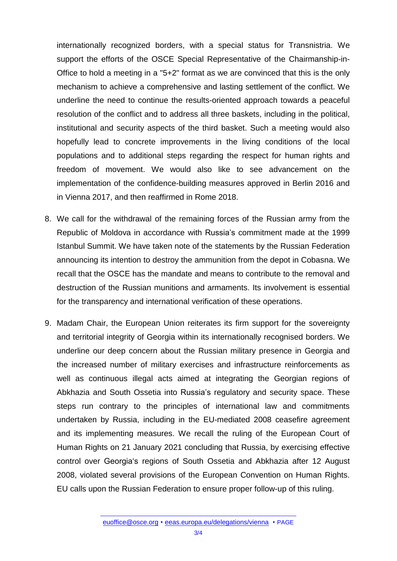internationally recognized borders, with a special status for Transnistria. We support the efforts of the OSCE Special Representative of the Chairmanship-in-Office to hold a meeting in a "5+2" format as we are convinced that this is the only mechanism to achieve a comprehensive and lasting settlement of the conflict. We underline the need to continue the results-oriented approach towards a peaceful resolution of the conflict and to address all three baskets, including in the political, institutional and security aspects of the third basket. Such a meeting would also hopefully lead to concrete improvements in the living conditions of the local populations and to additional steps regarding the respect for human rights and freedom of movement. We would also like to see advancement on the implementation of the confidence-building measures approved in Berlin 2016 and in Vienna 2017, and then reaffirmed in Rome 2018.

- 8. We call for the withdrawal of the remaining forces of the Russian army from the Republic of Moldova in accordance with Russia's commitment made at the 1999 Istanbul Summit. We have taken note of the statements by the Russian Federation announcing its intention to destroy the ammunition from the depot in Cobasna. We recall that the OSCE has the mandate and means to contribute to the removal and destruction of the Russian munitions and armaments. Its involvement is essential for the transparency and international verification of these operations.
- 9. Madam Chair, the European Union reiterates its firm support for the sovereignty and territorial integrity of Georgia within its internationally recognised borders. We underline our deep concern about the Russian military presence in Georgia and the increased number of military exercises and infrastructure reinforcements as well as continuous illegal acts aimed at integrating the Georgian regions of Abkhazia and South Ossetia into Russia's regulatory and security space. These steps run contrary to the principles of international law and commitments undertaken by Russia, including in the EU-mediated 2008 ceasefire agreement and its implementing measures. We recall the ruling of the European Court of Human Rights on 21 January 2021 concluding that Russia, by exercising effective control over Georgia's regions of South Ossetia and Abkhazia after 12 August 2008, violated several provisions of the European Convention on Human Rights. EU calls upon the Russian Federation to ensure proper follow-up of this ruling.